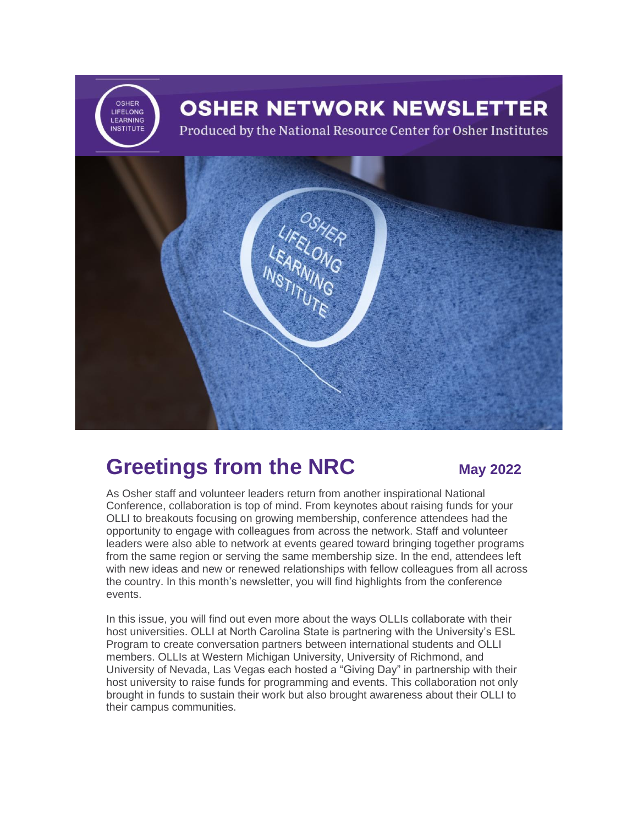

### **Greetings from the NRC May 2022**

As Osher staff and volunteer leaders return from another inspirational National Conference, collaboration is top of mind. From keynotes about raising funds for your OLLI to breakouts focusing on growing membership, conference attendees had the opportunity to engage with colleagues from across the network. Staff and volunteer leaders were also able to network at events geared toward bringing together programs from the same region or serving the same membership size. In the end, attendees left with new ideas and new or renewed relationships with fellow colleagues from all across the country. In this month's newsletter, you will find highlights from the conference events.

In this issue, you will find out even more about the ways OLLIs collaborate with their host universities. OLLI at North Carolina State is partnering with the University's ESL Program to create conversation partners between international students and OLLI members. OLLIs at Western Michigan University, University of Richmond, and University of Nevada, Las Vegas each hosted a "Giving Day" in partnership with their host university to raise funds for programming and events. This collaboration not only brought in funds to sustain their work but also brought awareness about their OLLI to their campus communities.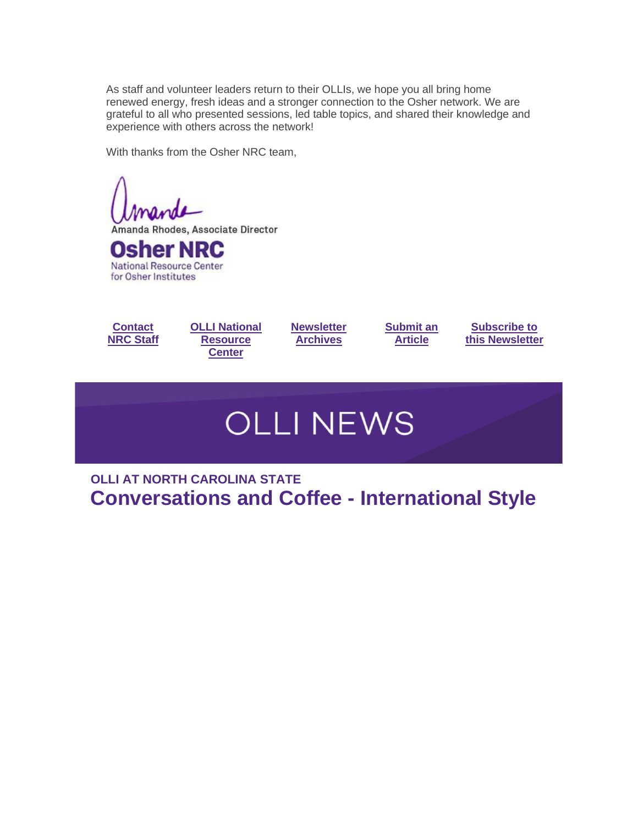As staff and volunteer leaders return to their OLLIs, we hope you all bring home renewed energy, fresh ideas and a stronger connection to the Osher network. We are grateful to all who presented sessions, led table topics, and shared their knowledge and experience with others across the network!

With thanks from the Osher NRC team,

Amanda Rhodes, Associate Director **Osher NRC** 

**National Resource Center** for Osher Institutes





**[Newsletter](https://r20.rs6.net/tn.jsp?f=001WQE6s7fVS_bRTpL9NgpwrAHZnbj2J6kQ9kLkvALcTlqqe0ZXOEpeDVNiTMzngDN8ARj9h0dC0HkCDfhNG4nLg1Q0y8sMDIWeCryvq_ioo7I5B1Pu70nuKGSE0lkNOEjw7cFqbmVKMLZfwrAZMfjuKWUpZZEcgNCARUIR_cpL57HqidijmMpiKEWisYpA8UVy6C2MhtJkJ0k_v1nkPmhFOxbCsjM1Buw1&c=hOzH1S3Hr62MNDyW7L05VAfRqTWWQUeqLqLMYS-Bun1QEFoaXMco_Q==&ch=zHKVZeJlOe-QwTeaLd8stKp4-P0qcXD1cYJEmCI-Ha0uFQMjmNnwqQ==)  [Archives](https://r20.rs6.net/tn.jsp?f=001WQE6s7fVS_bRTpL9NgpwrAHZnbj2J6kQ9kLkvALcTlqqe0ZXOEpeDVNiTMzngDN8ARj9h0dC0HkCDfhNG4nLg1Q0y8sMDIWeCryvq_ioo7I5B1Pu70nuKGSE0lkNOEjw7cFqbmVKMLZfwrAZMfjuKWUpZZEcgNCARUIR_cpL57HqidijmMpiKEWisYpA8UVy6C2MhtJkJ0k_v1nkPmhFOxbCsjM1Buw1&c=hOzH1S3Hr62MNDyW7L05VAfRqTWWQUeqLqLMYS-Bun1QEFoaXMco_Q==&ch=zHKVZeJlOe-QwTeaLd8stKp4-P0qcXD1cYJEmCI-Ha0uFQMjmNnwqQ==)**

**[Submit an](mailto:oshernrc@northwestern.edu)  [Article](mailto:oshernrc@northwestern.edu)**

**[Subscribe to](https://r20.rs6.net/tn.jsp?f=001WQE6s7fVS_bRTpL9NgpwrAHZnbj2J6kQ9kLkvALcTlqqe0ZXOEpeDZbiTwLR39FzN-ZAHlsN3R3fcrFnHzdLf03jcv92L7v0Vy23JeHUvxB-lmk6Mw6HJwDuo_fTJublg-HZ5X3s8O-zMBVy-3TzNdR61Li4RSqbFzx4Q8xaEs1ksRBIdWeqUJhnU4vkFG-Emk0TPFhaEdTiF2aNifHG9Njo-TFo1CrYVCgQsWAYxr8adlJL0LRQph7zZgIXfDGGP2awEQ8xWMPKIENNWgokzFN8juvg9xLDCOX1pK6mIe9JH4w_IF6CjTy3851l8QKaxb4LREoBDyabyX9GuVW9nogCNPcGnfutFVvlkVG7RKIHQjxVnhwc-Tjvse6Qenf0iJVf0rbwSxVoMfmGBO7uZqJRdW5w1pA7GrjHaCj2gBUfSkJHYn_gR2p2J-k1kdXULwjP6_6mPYxX56LLezCAcq3KC6jaMcfmWNxSDUT4EIhNGqlJgbj06U42HFhNJFGTxQ4RyVQo3LW9aJn96HnFEMByspNpLD21fpqvK4GcAQklqTlMxqWBv9w-f2RI0YITl2njWirZiNI9rWlxy0p8aG6ADay1BJjWJowQVUGU67ulT7SvSeUowYE_XpMhHp0jTy6VgaFRCzUMWShtftxZqFk6uaIcBaxjrtoo6XYKS8NcUl7IqJZCkgV-BXvFC55cm3aELfkyo2cbS77YTtqYYORwaOYeeRr4RR5jq1CHaWLCAx2AWWJH9MKKzkan4gKDnOPdpm60lWRz10ozfDbMT-8_dKmcJXHm&c=hOzH1S3Hr62MNDyW7L05VAfRqTWWQUeqLqLMYS-Bun1QEFoaXMco_Q==&ch=zHKVZeJlOe-QwTeaLd8stKp4-P0qcXD1cYJEmCI-Ha0uFQMjmNnwqQ==)  [this Newsletter](https://r20.rs6.net/tn.jsp?f=001WQE6s7fVS_bRTpL9NgpwrAHZnbj2J6kQ9kLkvALcTlqqe0ZXOEpeDZbiTwLR39FzN-ZAHlsN3R3fcrFnHzdLf03jcv92L7v0Vy23JeHUvxB-lmk6Mw6HJwDuo_fTJublg-HZ5X3s8O-zMBVy-3TzNdR61Li4RSqbFzx4Q8xaEs1ksRBIdWeqUJhnU4vkFG-Emk0TPFhaEdTiF2aNifHG9Njo-TFo1CrYVCgQsWAYxr8adlJL0LRQph7zZgIXfDGGP2awEQ8xWMPKIENNWgokzFN8juvg9xLDCOX1pK6mIe9JH4w_IF6CjTy3851l8QKaxb4LREoBDyabyX9GuVW9nogCNPcGnfutFVvlkVG7RKIHQjxVnhwc-Tjvse6Qenf0iJVf0rbwSxVoMfmGBO7uZqJRdW5w1pA7GrjHaCj2gBUfSkJHYn_gR2p2J-k1kdXULwjP6_6mPYxX56LLezCAcq3KC6jaMcfmWNxSDUT4EIhNGqlJgbj06U42HFhNJFGTxQ4RyVQo3LW9aJn96HnFEMByspNpLD21fpqvK4GcAQklqTlMxqWBv9w-f2RI0YITl2njWirZiNI9rWlxy0p8aG6ADay1BJjWJowQVUGU67ulT7SvSeUowYE_XpMhHp0jTy6VgaFRCzUMWShtftxZqFk6uaIcBaxjrtoo6XYKS8NcUl7IqJZCkgV-BXvFC55cm3aELfkyo2cbS77YTtqYYORwaOYeeRr4RR5jq1CHaWLCAx2AWWJH9MKKzkan4gKDnOPdpm60lWRz10ozfDbMT-8_dKmcJXHm&c=hOzH1S3Hr62MNDyW7L05VAfRqTWWQUeqLqLMYS-Bun1QEFoaXMco_Q==&ch=zHKVZeJlOe-QwTeaLd8stKp4-P0qcXD1cYJEmCI-Ha0uFQMjmNnwqQ==)**

# **OLLI NEWS**

**OLLI AT NORTH CAROLINA STATE Conversations and Coffee - International Style**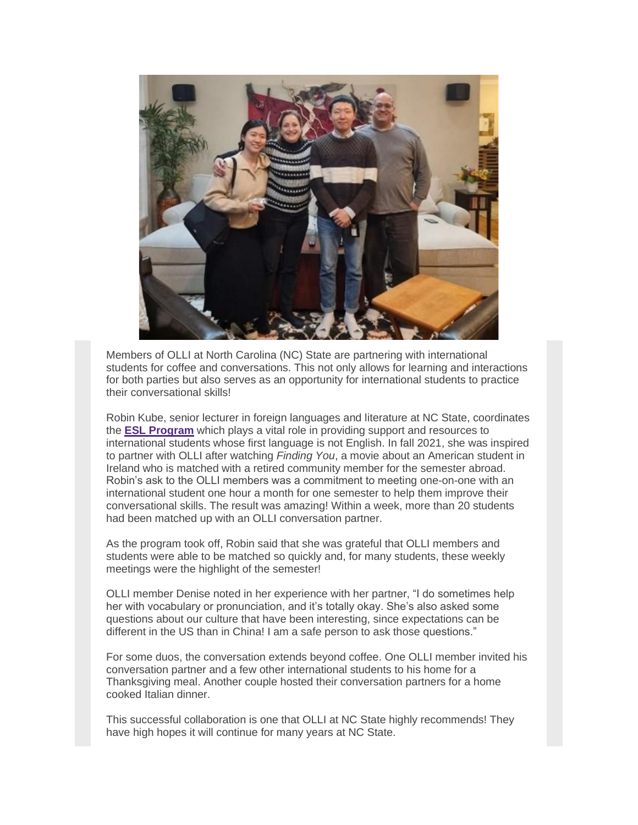

Members of OLLI at North Carolina (NC) State are partnering with international students for coffee and conversations. This not only allows for learning and interactions for both parties but also serves as an opportunity for international students to practice their conversational skills!

Robin Kube, senior lecturer in foreign languages and literature at NC State, coordinates the **[ESL Program](https://r20.rs6.net/tn.jsp?f=001WQE6s7fVS_bRTpL9NgpwrAHZnbj2J6kQ9kLkvALcTlqqe0ZXOEpeDTZtDb5ZsUuzLNgnWTHwLkUlgiWcDe9iY_K9HAPDTG3bdHlNufcJlq2WCDQFIPkwbVvJuj2uk4ei9JIvbXc9UQqjwjW6-vHNB3aJ3SFYDMaD&c=hOzH1S3Hr62MNDyW7L05VAfRqTWWQUeqLqLMYS-Bun1QEFoaXMco_Q==&ch=zHKVZeJlOe-QwTeaLd8stKp4-P0qcXD1cYJEmCI-Ha0uFQMjmNnwqQ==)** which plays a vital role in providing support and resources to international students whose first language is not English. In fall 2021, she was inspired to partner with OLLI after watching *Finding You*, a movie about an American student in Ireland who is matched with a retired community member for the semester abroad. Robin's ask to the OLLI members was a commitment to meeting one-on-one with an international student one hour a month for one semester to help them improve their conversational skills. The result was amazing! Within a week, more than 20 students had been matched up with an OLLI conversation partner.

As the program took off, Robin said that she was grateful that OLLI members and students were able to be matched so quickly and, for many students, these weekly meetings were the highlight of the semester!

OLLI member Denise noted in her experience with her partner, "I do sometimes help her with vocabulary or pronunciation, and it's totally okay. She's also asked some questions about our culture that have been interesting, since expectations can be different in the US than in China! I am a safe person to ask those questions."

For some duos, the conversation extends beyond coffee. One OLLI member invited his conversation partner and a few other international students to his home for a Thanksgiving meal. Another couple hosted their conversation partners for a home cooked Italian dinner.

This successful collaboration is one that OLLI at NC State highly recommends! They have high hopes it will continue for many years at NC State.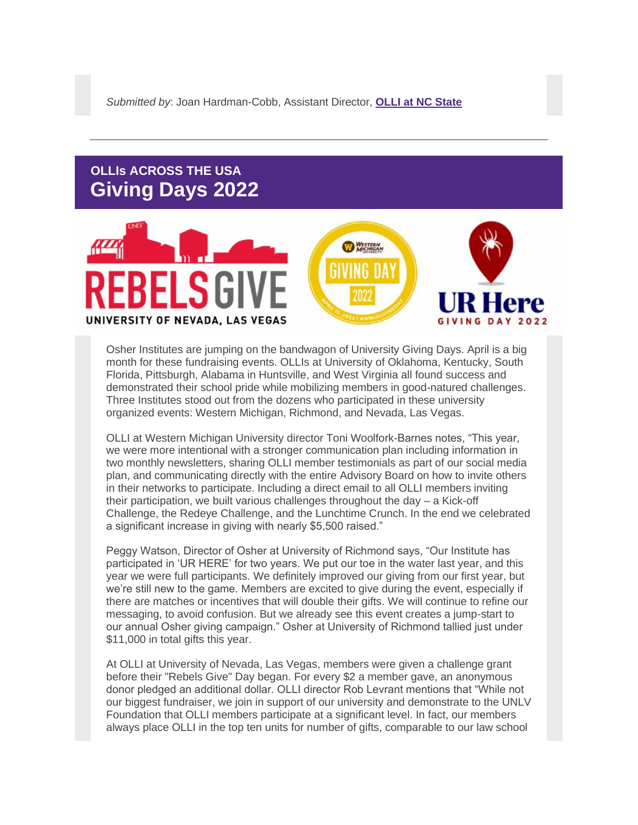#### **OLLIs ACROSS THE USA Giving Days 2022**



Osher Institutes are jumping on the bandwagon of University Giving Days. April is a big month for these fundraising events. OLLIs at University of Oklahoma, Kentucky, South Florida, Pittsburgh, Alabama in Huntsville, and West Virginia all found success and demonstrated their school pride while mobilizing members in good-natured challenges. Three Institutes stood out from the dozens who participated in these university organized events: Western Michigan, Richmond, and Nevada, Las Vegas.

OLLI at Western Michigan University director Toni Woolfork-Barnes notes, "This year, we were more intentional with a stronger communication plan including information in two monthly newsletters, sharing OLLI member testimonials as part of our social media plan, and communicating directly with the entire Advisory Board on how to invite others in their networks to participate. Including a direct email to all OLLI members inviting their participation, we built various challenges throughout the day – a Kick-off Challenge, the Redeye Challenge, and the Lunchtime Crunch. In the end we celebrated a significant increase in giving with nearly \$5,500 raised."

Peggy Watson, Director of Osher at University of Richmond says, "Our Institute has participated in 'UR HERE' for two years. We put our toe in the water last year, and this year we were full participants. We definitely improved our giving from our first year, but we're still new to the game. Members are excited to give during the event, especially if there are matches or incentives that will double their gifts. We will continue to refine our messaging, to avoid confusion. But we already see this event creates a jump-start to our annual Osher giving campaign." Osher at University of Richmond tallied just under \$11,000 in total gifts this year.

At OLLI at University of Nevada, Las Vegas, members were given a challenge grant before their "Rebels Give" Day began. For every \$2 a member gave, an anonymous donor pledged an additional dollar. OLLI director Rob Levrant mentions that "While not our biggest fundraiser, we join in support of our university and demonstrate to the UNLV Foundation that OLLI members participate at a significant level. In fact, our members always place OLLI in the top ten units for number of gifts, comparable to our law school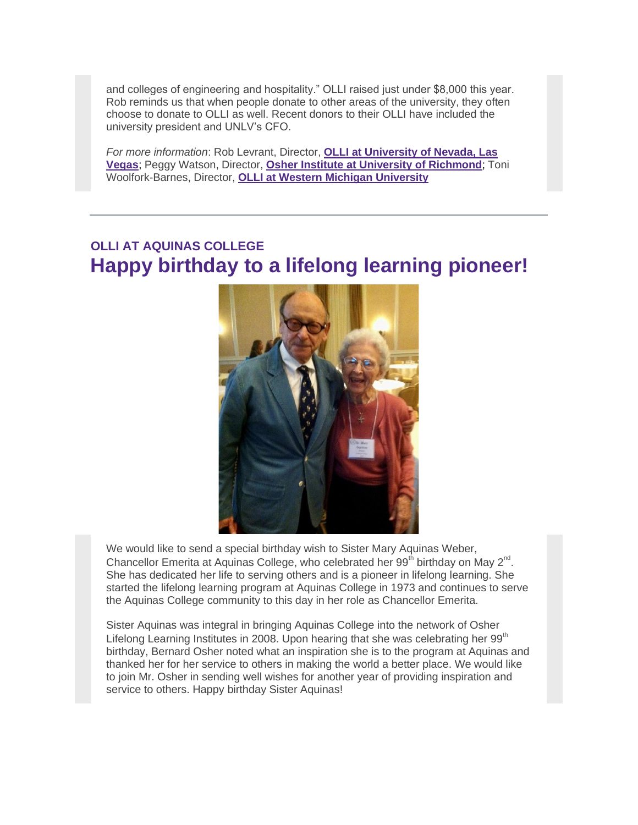and colleges of engineering and hospitality." OLLI raised just under \$8,000 this year. Rob reminds us that when people donate to other areas of the university, they often choose to donate to OLLI as well. Recent donors to their OLLI have included the university president and UNLV's CFO.

*For more information*: Rob Levrant, Director, **[OLLI at University of Nevada, Las](https://r20.rs6.net/tn.jsp?f=001WQE6s7fVS_bRTpL9NgpwrAHZnbj2J6kQ9kLkvALcTlqqe0ZXOEpeDRz3rDsT_xiGQyOLCtczggV6nQ56_ivi6umP2ih2jO-liLCvM7X2iHTl0Nc_G8t2sTTuN_blP1f1yTI7TPp7I0oq_94ReF2JmA==&c=hOzH1S3Hr62MNDyW7L05VAfRqTWWQUeqLqLMYS-Bun1QEFoaXMco_Q==&ch=zHKVZeJlOe-QwTeaLd8stKp4-P0qcXD1cYJEmCI-Ha0uFQMjmNnwqQ==)  [Vegas](https://r20.rs6.net/tn.jsp?f=001WQE6s7fVS_bRTpL9NgpwrAHZnbj2J6kQ9kLkvALcTlqqe0ZXOEpeDRz3rDsT_xiGQyOLCtczggV6nQ56_ivi6umP2ih2jO-liLCvM7X2iHTl0Nc_G8t2sTTuN_blP1f1yTI7TPp7I0oq_94ReF2JmA==&c=hOzH1S3Hr62MNDyW7L05VAfRqTWWQUeqLqLMYS-Bun1QEFoaXMco_Q==&ch=zHKVZeJlOe-QwTeaLd8stKp4-P0qcXD1cYJEmCI-Ha0uFQMjmNnwqQ==)**; Peggy Watson, Director, **[Osher Institute at University of Richmond](https://r20.rs6.net/tn.jsp?f=001WQE6s7fVS_bRTpL9NgpwrAHZnbj2J6kQ9kLkvALcTlqqe0ZXOEpeDTZtDb5ZsUuz1cwsHD2UiiEkQAYOMpNfX3slAX4vEnp25t26Zlx7hznXASI_nTY1ng2NKAyN0XADVHSQbLiQb-TQRFwNKE-6IPlgLBYcEYgz1YYtx6l1grlMlLkards5Ew==&c=hOzH1S3Hr62MNDyW7L05VAfRqTWWQUeqLqLMYS-Bun1QEFoaXMco_Q==&ch=zHKVZeJlOe-QwTeaLd8stKp4-P0qcXD1cYJEmCI-Ha0uFQMjmNnwqQ==)**; Toni Woolfork-Barnes, Director, **[OLLI at Western Michigan University](https://r20.rs6.net/tn.jsp?f=001WQE6s7fVS_bRTpL9NgpwrAHZnbj2J6kQ9kLkvALcTlqqe0ZXOEpeDZGYElfFQd42acm45iZDqv2qnyjpU0Ynic5r67J8RZFVZVXNke-5sXUix9VMrKdSga2KEzZ4irDIwKwlzUk8iD3U8IYxHoJIOg==&c=hOzH1S3Hr62MNDyW7L05VAfRqTWWQUeqLqLMYS-Bun1QEFoaXMco_Q==&ch=zHKVZeJlOe-QwTeaLd8stKp4-P0qcXD1cYJEmCI-Ha0uFQMjmNnwqQ==)**

#### **OLLI AT AQUINAS COLLEGE Happy birthday to a lifelong learning pioneer!**



We would like to send a special birthday wish to Sister Mary Aquinas Weber, Chancellor Emerita at Aquinas College, who celebrated her 99<sup>th</sup> birthday on May  $2^{nd}$ . She has dedicated her life to serving others and is a pioneer in lifelong learning. She started the lifelong learning program at Aquinas College in 1973 and continues to serve the Aquinas College community to this day in her role as Chancellor Emerita.

Sister Aquinas was integral in bringing Aquinas College into the network of Osher Lifelong Learning Institutes in 2008. Upon hearing that she was celebrating her 99<sup>th</sup> birthday, Bernard Osher noted what an inspiration she is to the program at Aquinas and thanked her for her service to others in making the world a better place. We would like to join Mr. Osher in sending well wishes for another year of providing inspiration and service to others. Happy birthday Sister Aquinas!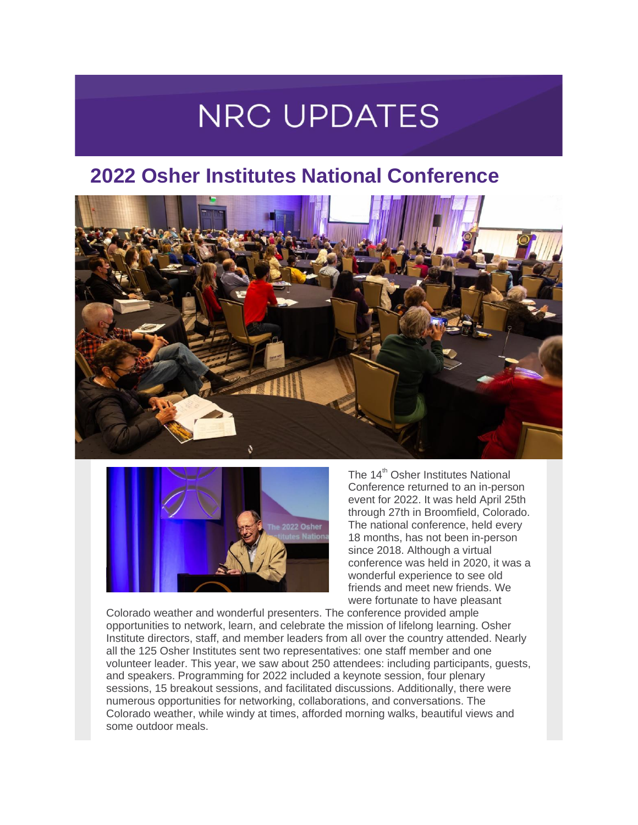### **NRC UPDATES**

### **2022 Osher Institutes National Conference**





The 14<sup>th</sup> Osher Institutes National Conference returned to an in-person event for 2022. It was held April 25th through 27th in Broomfield, Colorado. The national conference, held every 18 months, has not been in-person since 2018. Although a virtual conference was held in 2020, it was a wonderful experience to see old friends and meet new friends. We were fortunate to have pleasant

Colorado weather and wonderful presenters. The conference provided ample opportunities to network, learn, and celebrate the mission of lifelong learning. Osher Institute directors, staff, and member leaders from all over the country attended. Nearly all the 125 Osher Institutes sent two representatives: one staff member and one volunteer leader. This year, we saw about 250 attendees: including participants, guests, and speakers. Programming for 2022 included a keynote session, four plenary sessions, 15 breakout sessions, and facilitated discussions. Additionally, there were numerous opportunities for networking, collaborations, and conversations. The Colorado weather, while windy at times, afforded morning walks, beautiful views and some outdoor meals.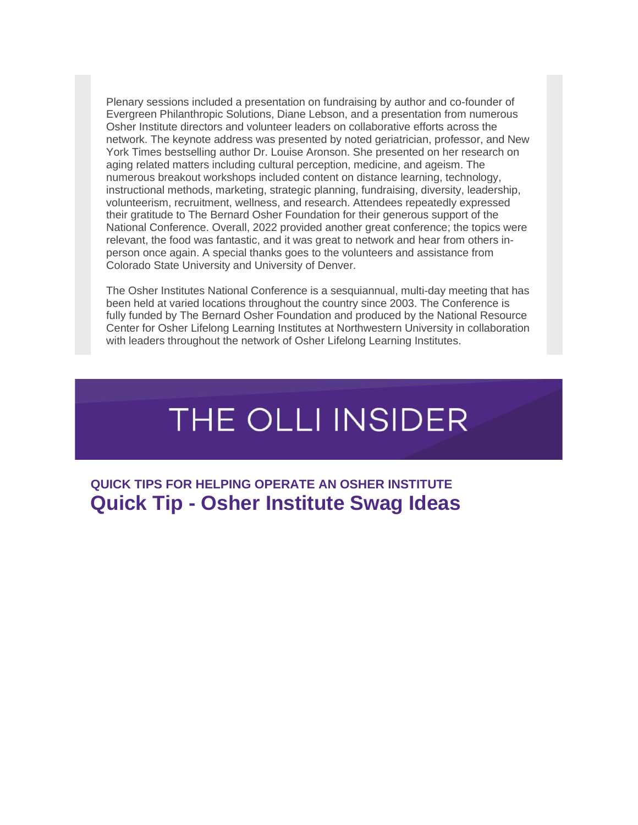Plenary sessions included a presentation on fundraising by author and co-founder of Evergreen Philanthropic Solutions, Diane Lebson, and a presentation from numerous Osher Institute directors and volunteer leaders on collaborative efforts across the network. The keynote address was presented by noted geriatrician, professor, and New York Times bestselling author Dr. Louise Aronson. She presented on her research on aging related matters including cultural perception, medicine, and ageism. The numerous breakout workshops included content on distance learning, technology, instructional methods, marketing, strategic planning, fundraising, diversity, leadership, volunteerism, recruitment, wellness, and research. Attendees repeatedly expressed their gratitude to The Bernard Osher Foundation for their generous support of the National Conference. Overall, 2022 provided another great conference; the topics were relevant, the food was fantastic, and it was great to network and hear from others inperson once again. A special thanks goes to the volunteers and assistance from Colorado State University and University of Denver.

The Osher Institutes National Conference is a sesquiannual, multi-day meeting that has been held at varied locations throughout the country since 2003. The Conference is fully funded by The Bernard Osher Foundation and produced by the National Resource Center for Osher Lifelong Learning Institutes at Northwestern University in collaboration with leaders throughout the network of Osher Lifelong Learning Institutes.

# THE OLLI INSIDER

**QUICK TIPS FOR HELPING OPERATE AN OSHER INSTITUTE Quick Tip - Osher Institute Swag Ideas**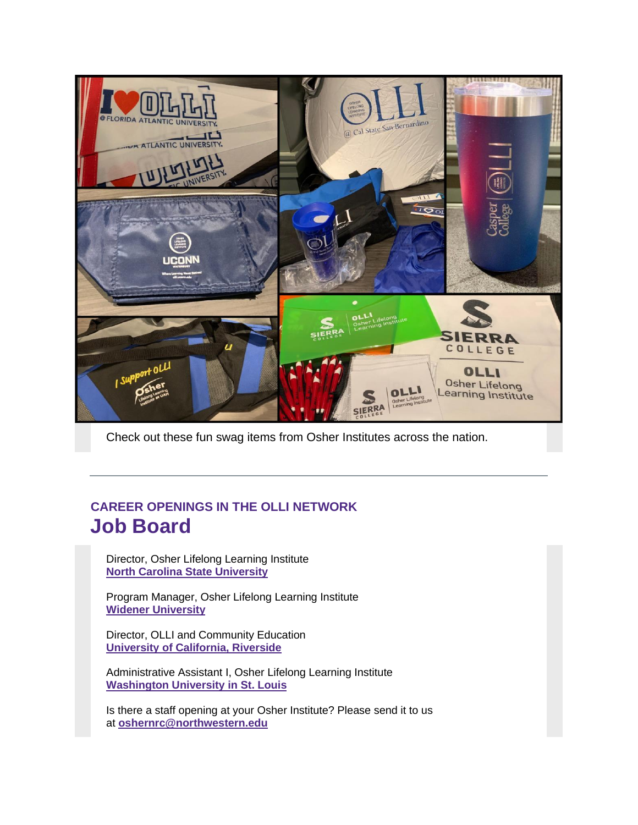

Check out these fun swag items from Osher Institutes across the nation.

#### **CAREER OPENINGS IN THE OLLI NETWORK Job Board**

Director, Osher Lifelong Learning Institute **[North Carolina State University](https://r20.rs6.net/tn.jsp?f=001WQE6s7fVS_bRTpL9NgpwrAHZnbj2J6kQ9kLkvALcTlqqe0ZXOEpeDTZtDb5ZsUuzQTd108QLFBPrE5wqg3SZME-yv5exZ850MKot6VGsQqF5VIlxJGW5Exne21eNi22PoVvSuMwvhDa0Wfo0jvpX7rLE3qCN1YmKaGK6PZRE_To=&c=hOzH1S3Hr62MNDyW7L05VAfRqTWWQUeqLqLMYS-Bun1QEFoaXMco_Q==&ch=zHKVZeJlOe-QwTeaLd8stKp4-P0qcXD1cYJEmCI-Ha0uFQMjmNnwqQ==)**

Program Manager, Osher Lifelong Learning Institute **[Widener University](https://r20.rs6.net/tn.jsp?f=001WQE6s7fVS_bRTpL9NgpwrAHZnbj2J6kQ9kLkvALcTlqqe0ZXOEpeDTZtDb5ZsUuzSOpew8UrawlD1ak5fpdgcRH--xiwz2pfTODrPUTy-FYV2ryD1rKPsFT6jrgvPZAFrRHjcZWMV_dIjJTPmImiBLXfi600zq7zA_ks_Y-QTBuWgxgc3Oqv0KdDS67d0nGm0Bl93UboVismS9Nt4xFkok5Tv7lvHCp7tRQXaWkIFtw5lnxRXJQK-w==&c=hOzH1S3Hr62MNDyW7L05VAfRqTWWQUeqLqLMYS-Bun1QEFoaXMco_Q==&ch=zHKVZeJlOe-QwTeaLd8stKp4-P0qcXD1cYJEmCI-Ha0uFQMjmNnwqQ==)**

Director, OLLI and Community Education **[University of California, Riverside](https://r20.rs6.net/tn.jsp?f=001WQE6s7fVS_bRTpL9NgpwrAHZnbj2J6kQ9kLkvALcTlqqe0ZXOEpeDTZtDb5ZsUuzsXdhUyPTC0ITRcZDfB4JigLwDJW50wkRWo75-hwZpCY-lbAIgmpb6y9I9NHhzQfgCpDstH9wj0KrQl6-CPM5v0KotESzk2HX_0etf79zKZsExWyMxM06Ud5hj16rWxui-SIaYMyMSaXLMajNmkeMRXXArm0oHgtld1iL94IzokYfZAAvm9AmUf4c-CwlyNRvLN2F-EZ1OQsgTEEJyJ2-vg2YJf5DocjyHEQSD9CO1SD3wXRNUFALqslSCohb5WN7Lr1XQqiCmihLs2oKpmdRJA==&c=hOzH1S3Hr62MNDyW7L05VAfRqTWWQUeqLqLMYS-Bun1QEFoaXMco_Q==&ch=zHKVZeJlOe-QwTeaLd8stKp4-P0qcXD1cYJEmCI-Ha0uFQMjmNnwqQ==)**

Administrative Assistant I, Osher Lifelong Learning Institute **[Washington University in St. Louis](https://r20.rs6.net/tn.jsp?f=001WQE6s7fVS_bRTpL9NgpwrAHZnbj2J6kQ9kLkvALcTlqqe0ZXOEpeDTZtDb5ZsUuzosRA8UfHA0Ed1z85BCSB6IQm-71vG4-uExlP9TXkSYQONTkCdQ7XhwILldi1x82oxAwqflLauEGAc3mUFC1xV018WyfooELqdQHW3OOIc-YPQrZpme4saHg0v5mvwdbV388mRoqQ4uii0sOGU00i_vTAUXvGcw8flJMYusBVppUCs1lcSdgpeu_CyFwrXdVDN--aQ08SAz7czBnVfoPBNj5P6HUSCSztq2VdsJH-QQ0NQiwjt0BK3np_D4aQZOkwq5JDl6IkqPPA6IL2TD90csmch2x-jVyG0LwsKO0OzfjzAiPQZzPlghxXVLuT6i63wa0BG1wiv4gnkg3NuCBjEvHZIwhxCZhUwPIuufLo9pR9wsuyhAY3qQhN2KPhJWEC&c=hOzH1S3Hr62MNDyW7L05VAfRqTWWQUeqLqLMYS-Bun1QEFoaXMco_Q==&ch=zHKVZeJlOe-QwTeaLd8stKp4-P0qcXD1cYJEmCI-Ha0uFQMjmNnwqQ==)**

Is there a staff opening at your Osher Institute? Please send it to us at **[oshernrc@northwestern.edu](mailto:oshernrc@northwestern.edu)**